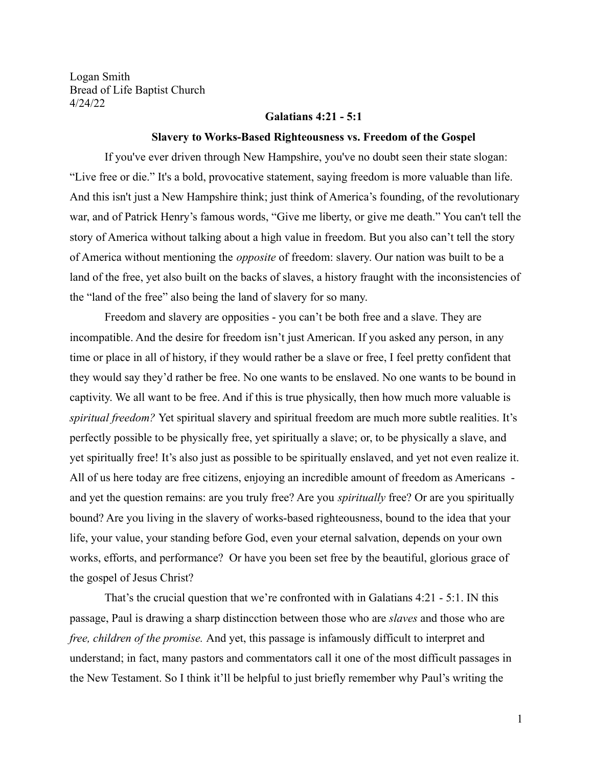Logan Smith Bread of Life Baptist Church 4/24/22

### **Galatians 4:21 - 5:1**

#### **Slavery to Works-Based Righteousness vs. Freedom of the Gospel**

If you've ever driven through New Hampshire, you've no doubt seen their state slogan: "Live free or die." It's a bold, provocative statement, saying freedom is more valuable than life. And this isn't just a New Hampshire think; just think of America's founding, of the revolutionary war, and of Patrick Henry's famous words, "Give me liberty, or give me death." You can't tell the story of America without talking about a high value in freedom. But you also can't tell the story of America without mentioning the *opposite* of freedom: slavery. Our nation was built to be a land of the free, yet also built on the backs of slaves, a history fraught with the inconsistencies of the "land of the free" also being the land of slavery for so many.

Freedom and slavery are opposities - you can't be both free and a slave. They are incompatible. And the desire for freedom isn't just American. If you asked any person, in any time or place in all of history, if they would rather be a slave or free, I feel pretty confident that they would say they'd rather be free. No one wants to be enslaved. No one wants to be bound in captivity. We all want to be free. And if this is true physically, then how much more valuable is *spiritual freedom?* Yet spiritual slavery and spiritual freedom are much more subtle realities. It's perfectly possible to be physically free, yet spiritually a slave; or, to be physically a slave, and yet spiritually free! It's also just as possible to be spiritually enslaved, and yet not even realize it. All of us here today are free citizens, enjoying an incredible amount of freedom as Americans and yet the question remains: are you truly free? Are you *spiritually* free? Or are you spiritually bound? Are you living in the slavery of works-based righteousness, bound to the idea that your life, your value, your standing before God, even your eternal salvation, depends on your own works, efforts, and performance? Or have you been set free by the beautiful, glorious grace of the gospel of Jesus Christ?

That's the crucial question that we're confronted with in Galatians 4:21 - 5:1. IN this passage, Paul is drawing a sharp distincction between those who are *slaves* and those who are *free, children of the promise.* And yet, this passage is infamously difficult to interpret and understand; in fact, many pastors and commentators call it one of the most difficult passages in the New Testament. So I think it'll be helpful to just briefly remember why Paul's writing the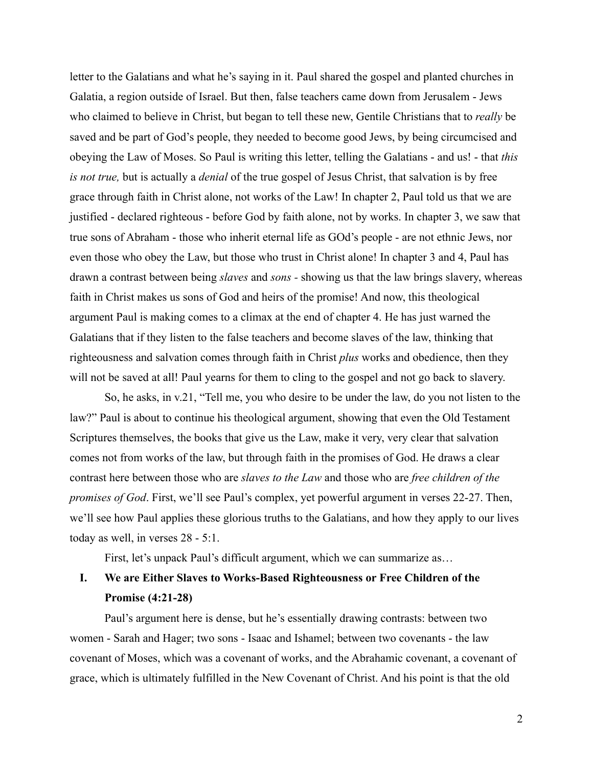letter to the Galatians and what he's saying in it. Paul shared the gospel and planted churches in Galatia, a region outside of Israel. But then, false teachers came down from Jerusalem - Jews who claimed to believe in Christ, but began to tell these new, Gentile Christians that to *really* be saved and be part of God's people, they needed to become good Jews, by being circumcised and obeying the Law of Moses. So Paul is writing this letter, telling the Galatians - and us! - that *this is not true,* but is actually a *denial* of the true gospel of Jesus Christ, that salvation is by free grace through faith in Christ alone, not works of the Law! In chapter 2, Paul told us that we are justified - declared righteous - before God by faith alone, not by works. In chapter 3, we saw that true sons of Abraham - those who inherit eternal life as GOd's people - are not ethnic Jews, nor even those who obey the Law, but those who trust in Christ alone! In chapter 3 and 4, Paul has drawn a contrast between being *slaves* and *sons -* showing us that the law brings slavery, whereas faith in Christ makes us sons of God and heirs of the promise! And now, this theological argument Paul is making comes to a climax at the end of chapter 4. He has just warned the Galatians that if they listen to the false teachers and become slaves of the law, thinking that righteousness and salvation comes through faith in Christ *plus* works and obedience, then they will not be saved at all! Paul yearns for them to cling to the gospel and not go back to slavery.

So, he asks, in v.21, "Tell me, you who desire to be under the law, do you not listen to the law?" Paul is about to continue his theological argument, showing that even the Old Testament Scriptures themselves, the books that give us the Law, make it very, very clear that salvation comes not from works of the law, but through faith in the promises of God. He draws a clear contrast here between those who are *slaves to the Law* and those who are *free children of the promises of God*. First, we'll see Paul's complex, yet powerful argument in verses 22-27. Then, we'll see how Paul applies these glorious truths to the Galatians, and how they apply to our lives today as well, in verses 28 - 5:1.

First, let's unpack Paul's difficult argument, which we can summarize as…

# **I. We are Either Slaves to Works-Based Righteousness or Free Children of the Promise (4:21-28)**

Paul's argument here is dense, but he's essentially drawing contrasts: between two women - Sarah and Hager; two sons - Isaac and Ishamel; between two covenants - the law covenant of Moses, which was a covenant of works, and the Abrahamic covenant, a covenant of grace, which is ultimately fulfilled in the New Covenant of Christ. And his point is that the old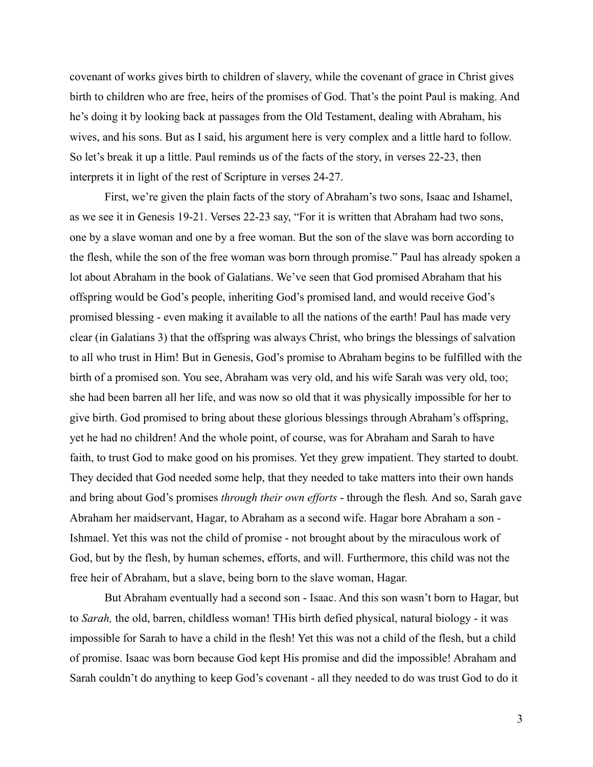covenant of works gives birth to children of slavery, while the covenant of grace in Christ gives birth to children who are free, heirs of the promises of God. That's the point Paul is making. And he's doing it by looking back at passages from the Old Testament, dealing with Abraham, his wives, and his sons. But as I said, his argument here is very complex and a little hard to follow. So let's break it up a little. Paul reminds us of the facts of the story, in verses 22-23, then interprets it in light of the rest of Scripture in verses 24-27.

First, we're given the plain facts of the story of Abraham's two sons, Isaac and Ishamel, as we see it in Genesis 19-21. Verses 22-23 say, "For it is written that Abraham had two sons, one by a slave woman and one by a free woman. But the son of the slave was born according to the flesh, while the son of the free woman was born through promise." Paul has already spoken a lot about Abraham in the book of Galatians. We've seen that God promised Abraham that his offspring would be God's people, inheriting God's promised land, and would receive God's promised blessing - even making it available to all the nations of the earth! Paul has made very clear (in Galatians 3) that the offspring was always Christ, who brings the blessings of salvation to all who trust in Him! But in Genesis, God's promise to Abraham begins to be fulfilled with the birth of a promised son. You see, Abraham was very old, and his wife Sarah was very old, too; she had been barren all her life, and was now so old that it was physically impossible for her to give birth. God promised to bring about these glorious blessings through Abraham's offspring, yet he had no children! And the whole point, of course, was for Abraham and Sarah to have faith, to trust God to make good on his promises. Yet they grew impatient. They started to doubt. They decided that God needed some help, that they needed to take matters into their own hands and bring about God's promises *through their own efforts* - through the flesh*.* And so, Sarah gave Abraham her maidservant, Hagar, to Abraham as a second wife. Hagar bore Abraham a son - Ishmael. Yet this was not the child of promise - not brought about by the miraculous work of God, but by the flesh, by human schemes, efforts, and will. Furthermore, this child was not the free heir of Abraham, but a slave, being born to the slave woman, Hagar.

But Abraham eventually had a second son - Isaac. And this son wasn't born to Hagar, but to *Sarah,* the old, barren, childless woman! THis birth defied physical, natural biology - it was impossible for Sarah to have a child in the flesh! Yet this was not a child of the flesh, but a child of promise. Isaac was born because God kept His promise and did the impossible! Abraham and Sarah couldn't do anything to keep God's covenant - all they needed to do was trust God to do it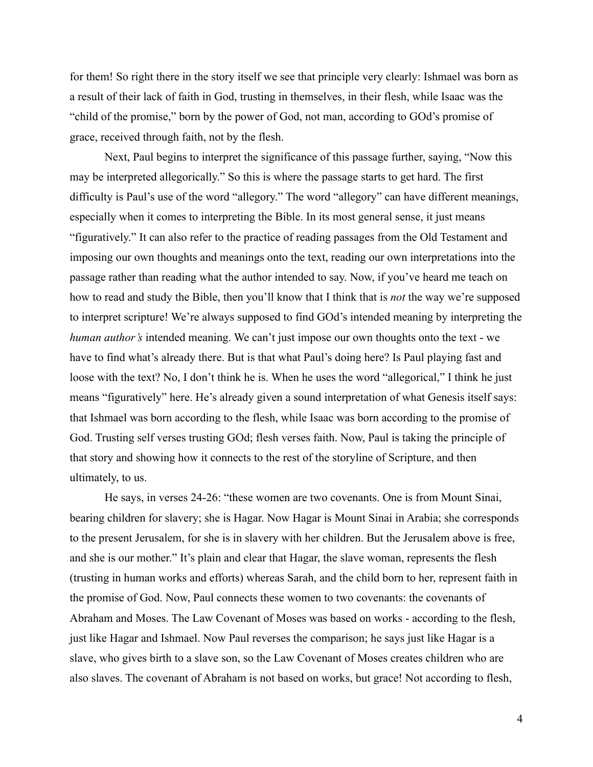for them! So right there in the story itself we see that principle very clearly: Ishmael was born as a result of their lack of faith in God, trusting in themselves, in their flesh, while Isaac was the "child of the promise," born by the power of God, not man, according to GOd's promise of grace, received through faith, not by the flesh.

Next, Paul begins to interpret the significance of this passage further, saying, "Now this may be interpreted allegorically." So this is where the passage starts to get hard. The first difficulty is Paul's use of the word "allegory." The word "allegory" can have different meanings, especially when it comes to interpreting the Bible. In its most general sense, it just means "figuratively." It can also refer to the practice of reading passages from the Old Testament and imposing our own thoughts and meanings onto the text, reading our own interpretations into the passage rather than reading what the author intended to say. Now, if you've heard me teach on how to read and study the Bible, then you'll know that I think that is *not* the way we're supposed to interpret scripture! We're always supposed to find GOd's intended meaning by interpreting the *human author's* intended meaning. We can't just impose our own thoughts onto the text - we have to find what's already there. But is that what Paul's doing here? Is Paul playing fast and loose with the text? No, I don't think he is. When he uses the word "allegorical," I think he just means "figuratively" here. He's already given a sound interpretation of what Genesis itself says: that Ishmael was born according to the flesh, while Isaac was born according to the promise of God. Trusting self verses trusting GOd; flesh verses faith. Now, Paul is taking the principle of that story and showing how it connects to the rest of the storyline of Scripture, and then ultimately, to us.

He says, in verses 24-26: "these women are two covenants. One is from Mount Sinai, bearing children for slavery; she is Hagar. Now Hagar is Mount Sinai in Arabia; she corresponds to the present Jerusalem, for she is in slavery with her children. But the Jerusalem above is free, and she is our mother." It's plain and clear that Hagar, the slave woman, represents the flesh (trusting in human works and efforts) whereas Sarah, and the child born to her, represent faith in the promise of God. Now, Paul connects these women to two covenants: the covenants of Abraham and Moses. The Law Covenant of Moses was based on works - according to the flesh, just like Hagar and Ishmael. Now Paul reverses the comparison; he says just like Hagar is a slave, who gives birth to a slave son, so the Law Covenant of Moses creates children who are also slaves. The covenant of Abraham is not based on works, but grace! Not according to flesh,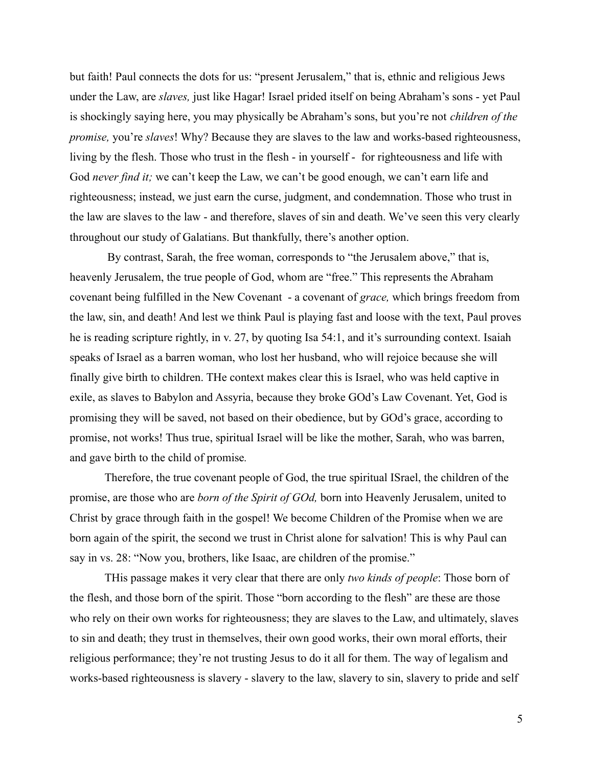but faith! Paul connects the dots for us: "present Jerusalem," that is, ethnic and religious Jews under the Law, are *slaves,* just like Hagar! Israel prided itself on being Abraham's sons - yet Paul is shockingly saying here, you may physically be Abraham's sons, but you're not *children of the promise,* you're *slaves*! Why? Because they are slaves to the law and works-based righteousness, living by the flesh. Those who trust in the flesh - in yourself - for righteousness and life with God *never find it;* we can't keep the Law, we can't be good enough, we can't earn life and righteousness; instead, we just earn the curse, judgment, and condemnation. Those who trust in the law are slaves to the law - and therefore, slaves of sin and death. We've seen this very clearly throughout our study of Galatians. But thankfully, there's another option.

By contrast, Sarah, the free woman, corresponds to "the Jerusalem above," that is, heavenly Jerusalem, the true people of God, whom are "free." This represents the Abraham covenant being fulfilled in the New Covenant - a covenant of *grace,* which brings freedom from the law, sin, and death! And lest we think Paul is playing fast and loose with the text, Paul proves he is reading scripture rightly, in v. 27, by quoting Isa 54:1, and it's surrounding context. Isaiah speaks of Israel as a barren woman, who lost her husband, who will rejoice because she will finally give birth to children. THe context makes clear this is Israel, who was held captive in exile, as slaves to Babylon and Assyria, because they broke GOd's Law Covenant. Yet, God is promising they will be saved, not based on their obedience, but by GOd's grace, according to promise, not works! Thus true, spiritual Israel will be like the mother, Sarah, who was barren, and gave birth to the child of promise*.*

Therefore, the true covenant people of God, the true spiritual ISrael, the children of the promise, are those who are *born of the Spirit of GOd,* born into Heavenly Jerusalem, united to Christ by grace through faith in the gospel! We become Children of the Promise when we are born again of the spirit, the second we trust in Christ alone for salvation! This is why Paul can say in vs. 28: "Now you, brothers, like Isaac, are children of the promise."

THis passage makes it very clear that there are only *two kinds of people*: Those born of the flesh, and those born of the spirit. Those "born according to the flesh" are these are those who rely on their own works for righteousness; they are slaves to the Law, and ultimately, slaves to sin and death; they trust in themselves, their own good works, their own moral efforts, their religious performance; they're not trusting Jesus to do it all for them. The way of legalism and works-based righteousness is slavery - slavery to the law, slavery to sin, slavery to pride and self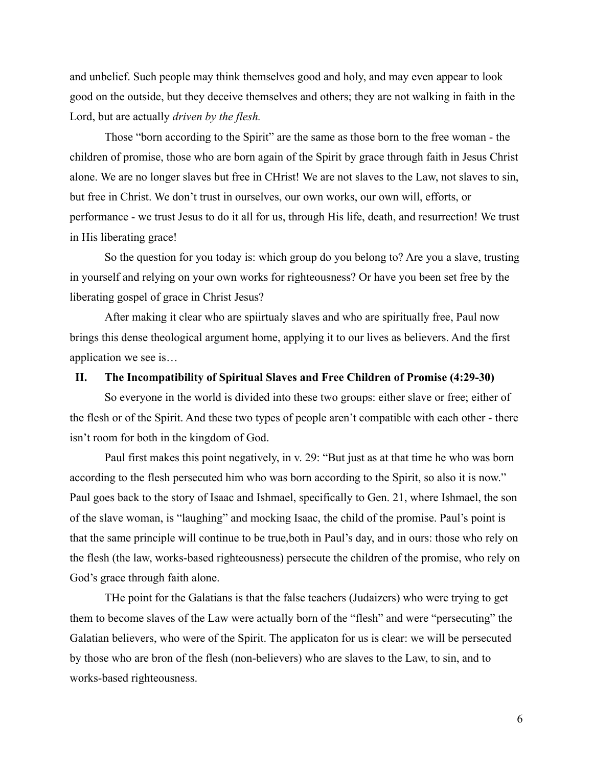and unbelief. Such people may think themselves good and holy, and may even appear to look good on the outside, but they deceive themselves and others; they are not walking in faith in the Lord, but are actually *driven by the flesh.*

Those "born according to the Spirit" are the same as those born to the free woman - the children of promise, those who are born again of the Spirit by grace through faith in Jesus Christ alone. We are no longer slaves but free in CHrist! We are not slaves to the Law, not slaves to sin, but free in Christ. We don't trust in ourselves, our own works, our own will, efforts, or performance - we trust Jesus to do it all for us, through His life, death, and resurrection! We trust in His liberating grace!

So the question for you today is: which group do you belong to? Are you a slave, trusting in yourself and relying on your own works for righteousness? Or have you been set free by the liberating gospel of grace in Christ Jesus?

After making it clear who are spiirtualy slaves and who are spiritually free, Paul now brings this dense theological argument home, applying it to our lives as believers. And the first application we see is…

## **II. The Incompatibility of Spiritual Slaves and Free Children of Promise (4:29-30)**

So everyone in the world is divided into these two groups: either slave or free; either of the flesh or of the Spirit. And these two types of people aren't compatible with each other - there isn't room for both in the kingdom of God.

Paul first makes this point negatively, in v. 29: "But just as at that time he who was born according to the flesh persecuted him who was born according to the Spirit, so also it is now." Paul goes back to the story of Isaac and Ishmael, specifically to Gen. 21, where Ishmael, the son of the slave woman, is "laughing" and mocking Isaac, the child of the promise. Paul's point is that the same principle will continue to be true,both in Paul's day, and in ours: those who rely on the flesh (the law, works-based righteousness) persecute the children of the promise, who rely on God's grace through faith alone.

THe point for the Galatians is that the false teachers (Judaizers) who were trying to get them to become slaves of the Law were actually born of the "flesh" and were "persecuting" the Galatian believers, who were of the Spirit. The applicaton for us is clear: we will be persecuted by those who are bron of the flesh (non-believers) who are slaves to the Law, to sin, and to works-based righteousness.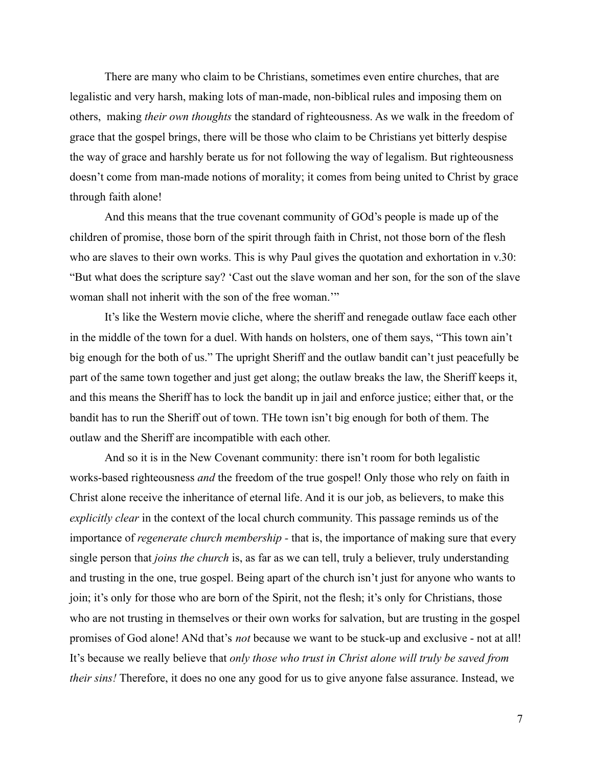There are many who claim to be Christians, sometimes even entire churches, that are legalistic and very harsh, making lots of man-made, non-biblical rules and imposing them on others, making *their own thoughts* the standard of righteousness. As we walk in the freedom of grace that the gospel brings, there will be those who claim to be Christians yet bitterly despise the way of grace and harshly berate us for not following the way of legalism. But righteousness doesn't come from man-made notions of morality; it comes from being united to Christ by grace through faith alone!

And this means that the true covenant community of GOd's people is made up of the children of promise, those born of the spirit through faith in Christ, not those born of the flesh who are slaves to their own works. This is why Paul gives the quotation and exhortation in v.30: "But what does the scripture say? 'Cast out the slave woman and her son, for the son of the slave woman shall not inherit with the son of the free woman.'"

It's like the Western movie cliche, where the sheriff and renegade outlaw face each other in the middle of the town for a duel. With hands on holsters, one of them says, "This town ain't big enough for the both of us." The upright Sheriff and the outlaw bandit can't just peacefully be part of the same town together and just get along; the outlaw breaks the law, the Sheriff keeps it, and this means the Sheriff has to lock the bandit up in jail and enforce justice; either that, or the bandit has to run the Sheriff out of town. THe town isn't big enough for both of them. The outlaw and the Sheriff are incompatible with each other.

And so it is in the New Covenant community: there isn't room for both legalistic works-based righteousness *and* the freedom of the true gospel! Only those who rely on faith in Christ alone receive the inheritance of eternal life. And it is our job, as believers, to make this *explicitly clear* in the context of the local church community. This passage reminds us of the importance of *regenerate church membership -* that is, the importance of making sure that every single person that *joins the church* is, as far as we can tell, truly a believer, truly understanding and trusting in the one, true gospel. Being apart of the church isn't just for anyone who wants to join; it's only for those who are born of the Spirit, not the flesh; it's only for Christians, those who are not trusting in themselves or their own works for salvation, but are trusting in the gospel promises of God alone! ANd that's *not* because we want to be stuck-up and exclusive - not at all! It's because we really believe that *only those who trust in Christ alone will truly be saved from their sins!* Therefore, it does no one any good for us to give anyone false assurance. Instead, we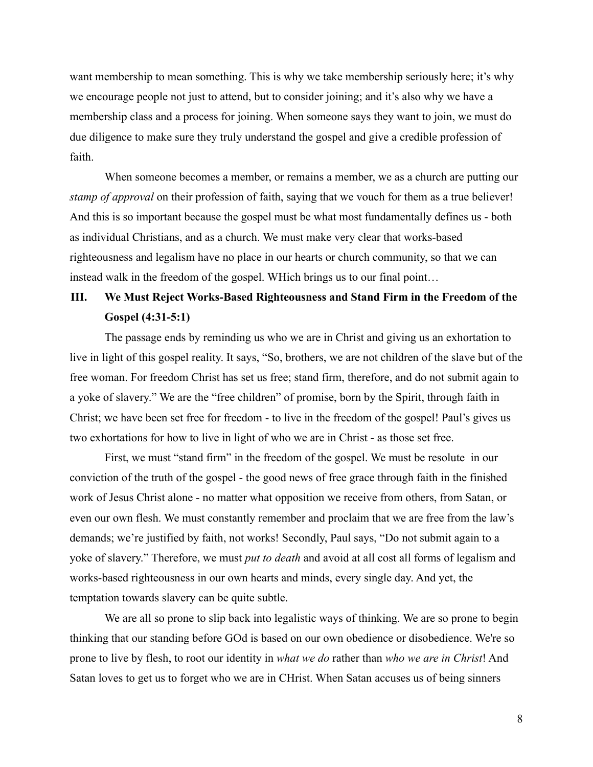want membership to mean something. This is why we take membership seriously here; it's why we encourage people not just to attend, but to consider joining; and it's also why we have a membership class and a process for joining. When someone says they want to join, we must do due diligence to make sure they truly understand the gospel and give a credible profession of faith.

When someone becomes a member, or remains a member, we as a church are putting our *stamp of approval* on their profession of faith, saying that we vouch for them as a true believer! And this is so important because the gospel must be what most fundamentally defines us - both as individual Christians, and as a church. We must make very clear that works-based righteousness and legalism have no place in our hearts or church community, so that we can instead walk in the freedom of the gospel. WHich brings us to our final point…

## **III. We Must Reject Works-Based Righteousness and Stand Firm in the Freedom of the Gospel (4:31-5:1)**

The passage ends by reminding us who we are in Christ and giving us an exhortation to live in light of this gospel reality. It says, "So, brothers, we are not children of the slave but of the free woman. For freedom Christ has set us free; stand firm, therefore, and do not submit again to a yoke of slavery." We are the "free children" of promise, born by the Spirit, through faith in Christ; we have been set free for freedom - to live in the freedom of the gospel! Paul's gives us two exhortations for how to live in light of who we are in Christ - as those set free.

First, we must "stand firm" in the freedom of the gospel. We must be resolute in our conviction of the truth of the gospel - the good news of free grace through faith in the finished work of Jesus Christ alone - no matter what opposition we receive from others, from Satan, or even our own flesh. We must constantly remember and proclaim that we are free from the law's demands; we're justified by faith, not works! Secondly, Paul says, "Do not submit again to a yoke of slavery." Therefore, we must *put to death* and avoid at all cost all forms of legalism and works-based righteousness in our own hearts and minds, every single day. And yet, the temptation towards slavery can be quite subtle.

We are all so prone to slip back into legalistic ways of thinking. We are so prone to begin thinking that our standing before GOd is based on our own obedience or disobedience. We're so prone to live by flesh, to root our identity in *what we do* rather than *who we are in Christ*! And Satan loves to get us to forget who we are in CHrist. When Satan accuses us of being sinners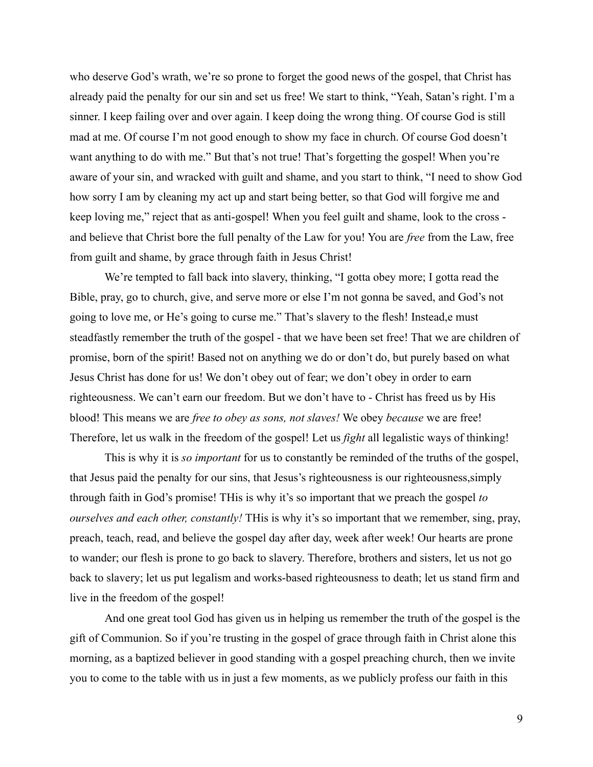who deserve God's wrath, we're so prone to forget the good news of the gospel, that Christ has already paid the penalty for our sin and set us free! We start to think, "Yeah, Satan's right. I'm a sinner. I keep failing over and over again. I keep doing the wrong thing. Of course God is still mad at me. Of course I'm not good enough to show my face in church. Of course God doesn't want anything to do with me." But that's not true! That's forgetting the gospel! When you're aware of your sin, and wracked with guilt and shame, and you start to think, "I need to show God how sorry I am by cleaning my act up and start being better, so that God will forgive me and keep loving me," reject that as anti-gospel! When you feel guilt and shame, look to the cross and believe that Christ bore the full penalty of the Law for you! You are *free* from the Law, free from guilt and shame, by grace through faith in Jesus Christ!

We're tempted to fall back into slavery, thinking, "I gotta obey more; I gotta read the Bible, pray, go to church, give, and serve more or else I'm not gonna be saved, and God's not going to love me, or He's going to curse me." That's slavery to the flesh! Instead,e must steadfastly remember the truth of the gospel - that we have been set free! That we are children of promise, born of the spirit! Based not on anything we do or don't do, but purely based on what Jesus Christ has done for us! We don't obey out of fear; we don't obey in order to earn righteousness. We can't earn our freedom. But we don't have to - Christ has freed us by His blood! This means we are *free to obey as sons, not slaves!* We obey *because* we are free! Therefore, let us walk in the freedom of the gospel! Let us *fight* all legalistic ways of thinking!

This is why it is *so important* for us to constantly be reminded of the truths of the gospel, that Jesus paid the penalty for our sins, that Jesus's righteousness is our righteousness,simply through faith in God's promise! THis is why it's so important that we preach the gospel *to ourselves and each other, constantly!* THis is why it's so important that we remember, sing, pray, preach, teach, read, and believe the gospel day after day, week after week! Our hearts are prone to wander; our flesh is prone to go back to slavery. Therefore, brothers and sisters, let us not go back to slavery; let us put legalism and works-based righteousness to death; let us stand firm and live in the freedom of the gospel!

And one great tool God has given us in helping us remember the truth of the gospel is the gift of Communion. So if you're trusting in the gospel of grace through faith in Christ alone this morning, as a baptized believer in good standing with a gospel preaching church, then we invite you to come to the table with us in just a few moments, as we publicly profess our faith in this